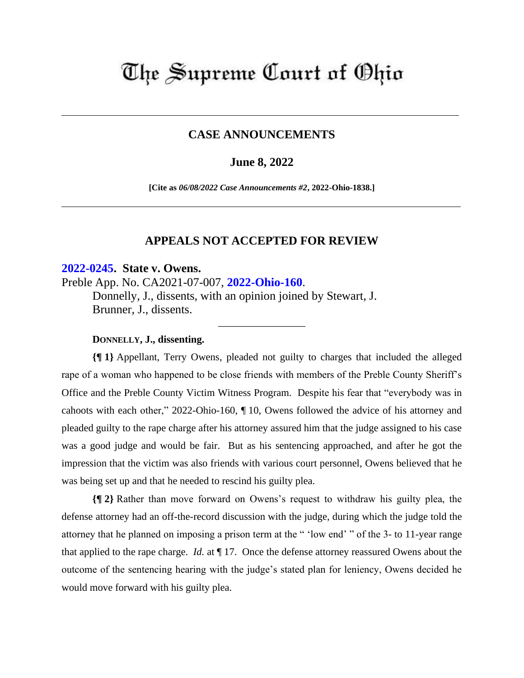# The Supreme Court of Ohio

# **CASE ANNOUNCEMENTS**

# **June 8, 2022**

**[Cite as** *06/08/2022 Case Announcements #2***, 2022-Ohio-1838.]**

## **APPEALS NOT ACCEPTED FOR REVIEW**

\_\_\_\_\_\_\_\_\_\_\_\_\_\_\_\_\_

### **[2022-0245.](https://www.supremecourt.ohio.gov/Clerk/ecms/#/caseinfo/2022/0245) State v. Owens.**

Preble App. No. CA2021-07-007, **[2022-Ohio-160](https://www.supremecourt.ohio.gov/rod/docs/pdf/12/2022/2022-Ohio-160.pdf)**.

Donnelly, J., dissents, with an opinion joined by Stewart, J. Brunner, J., dissents.

#### **DONNELLY, J., dissenting.**

**{¶ 1}** Appellant, Terry Owens, pleaded not guilty to charges that included the alleged rape of a woman who happened to be close friends with members of the Preble County Sheriff's Office and the Preble County Victim Witness Program. Despite his fear that "everybody was in cahoots with each other," 2022-Ohio-160, ¶ 10, Owens followed the advice of his attorney and pleaded guilty to the rape charge after his attorney assured him that the judge assigned to his case was a good judge and would be fair. But as his sentencing approached, and after he got the impression that the victim was also friends with various court personnel, Owens believed that he was being set up and that he needed to rescind his guilty plea.

**{¶ 2}** Rather than move forward on Owens's request to withdraw his guilty plea, the defense attorney had an off-the-record discussion with the judge, during which the judge told the attorney that he planned on imposing a prison term at the " 'low end' " of the 3- to 11-year range that applied to the rape charge. *Id.* at ¶ 17. Once the defense attorney reassured Owens about the outcome of the sentencing hearing with the judge's stated plan for leniency, Owens decided he would move forward with his guilty plea.